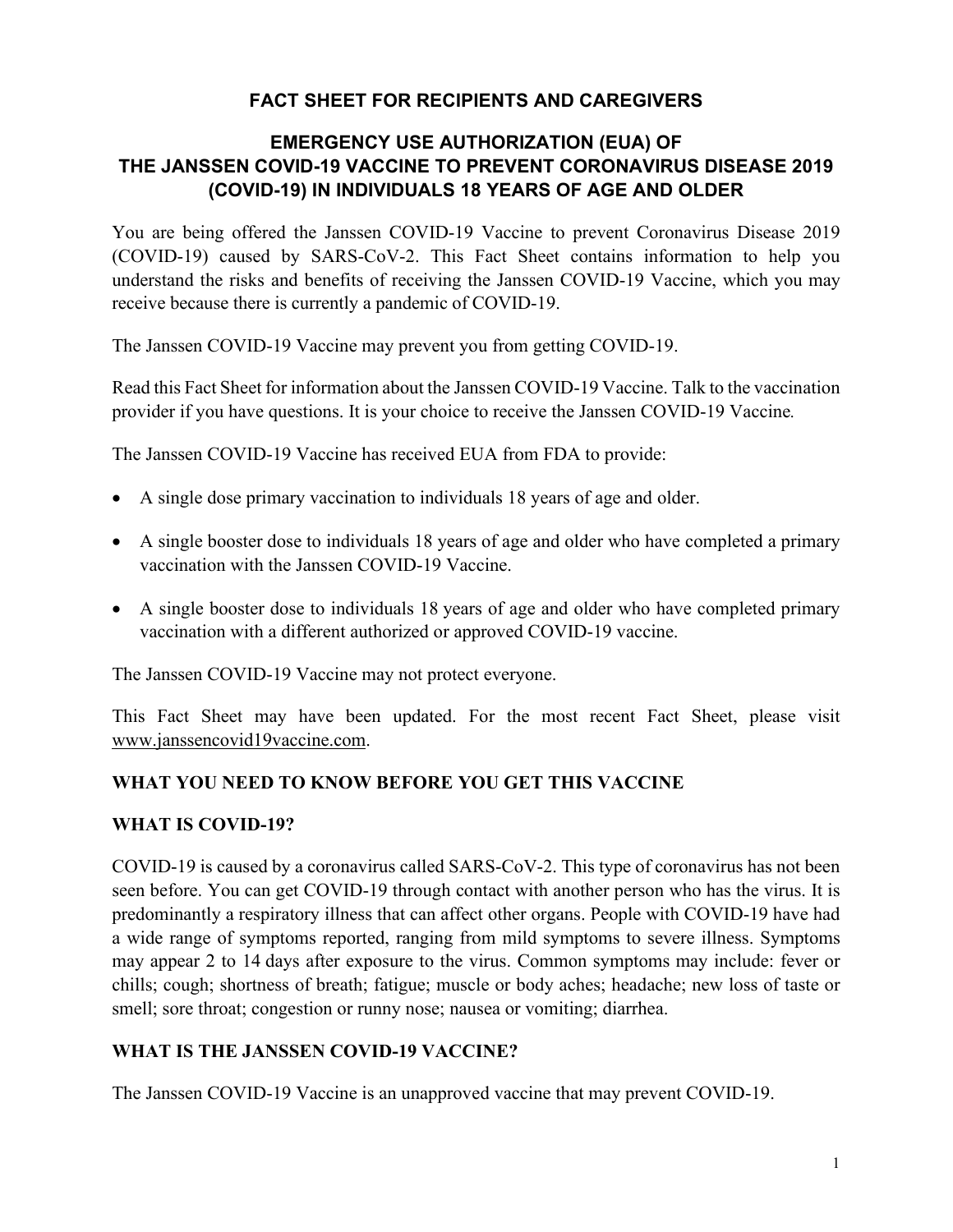## **FACT SHEET FOR RECIPIENTS AND CAREGIVERS**

## **EMERGENCY USE AUTHORIZATION (EUA) OF THE JANSSEN COVID-19 VACCINE TO PREVENT CORONAVIRUS DISEASE 2019 (COVID-19) IN INDIVIDUALS 18 YEARS OF AGE AND OLDER**

You are being offered the Janssen COVID-19 Vaccine to prevent Coronavirus Disease 2019 (COVID-19) caused by SARS-CoV-2. This Fact Sheet contains information to help you understand the risks and benefits of receiving the Janssen COVID-19 Vaccine, which you may receive because there is currently a pandemic of COVID-19.

The Janssen COVID-19 Vaccine may prevent you from getting COVID-19.

Read this Fact Sheet for information about the Janssen COVID-19 Vaccine. Talk to the vaccination provider if you have questions. It is your choice to receive the Janssen COVID-19 Vaccine*.*

The Janssen COVID-19 Vaccine has received EUA from FDA to provide:

- A single dose primary vaccination to individuals 18 years of age and older.
- A single booster dose to individuals 18 years of age and older who have completed a primary vaccination with the Janssen COVID-19 Vaccine.
- A single booster dose to individuals 18 years of age and older who have completed primary vaccination with a different authorized or approved COVID-19 vaccine.

The Janssen COVID-19 Vaccine may not protect everyone.

This Fact Sheet may have been updated. For the most recent Fact Sheet, please visit www.janssencovid19vaccine.com.

## **WHAT YOU NEED TO KNOW BEFORE YOU GET THIS VACCINE**

#### **WHAT IS COVID-19?**

COVID-19 is caused by a coronavirus called SARS-CoV-2. This type of coronavirus has not been seen before. You can get COVID-19 through contact with another person who has the virus. It is predominantly a respiratory illness that can affect other organs. People with COVID-19 have had a wide range of symptoms reported, ranging from mild symptoms to severe illness. Symptoms may appear 2 to 14 days after exposure to the virus. Common symptoms may include: fever or chills; cough; shortness of breath; fatigue; muscle or body aches; headache; new loss of taste or smell; sore throat; congestion or runny nose; nausea or vomiting; diarrhea.

#### **WHAT IS THE JANSSEN COVID-19 VACCINE?**

The Janssen COVID-19 Vaccine is an unapproved vaccine that may prevent COVID-19.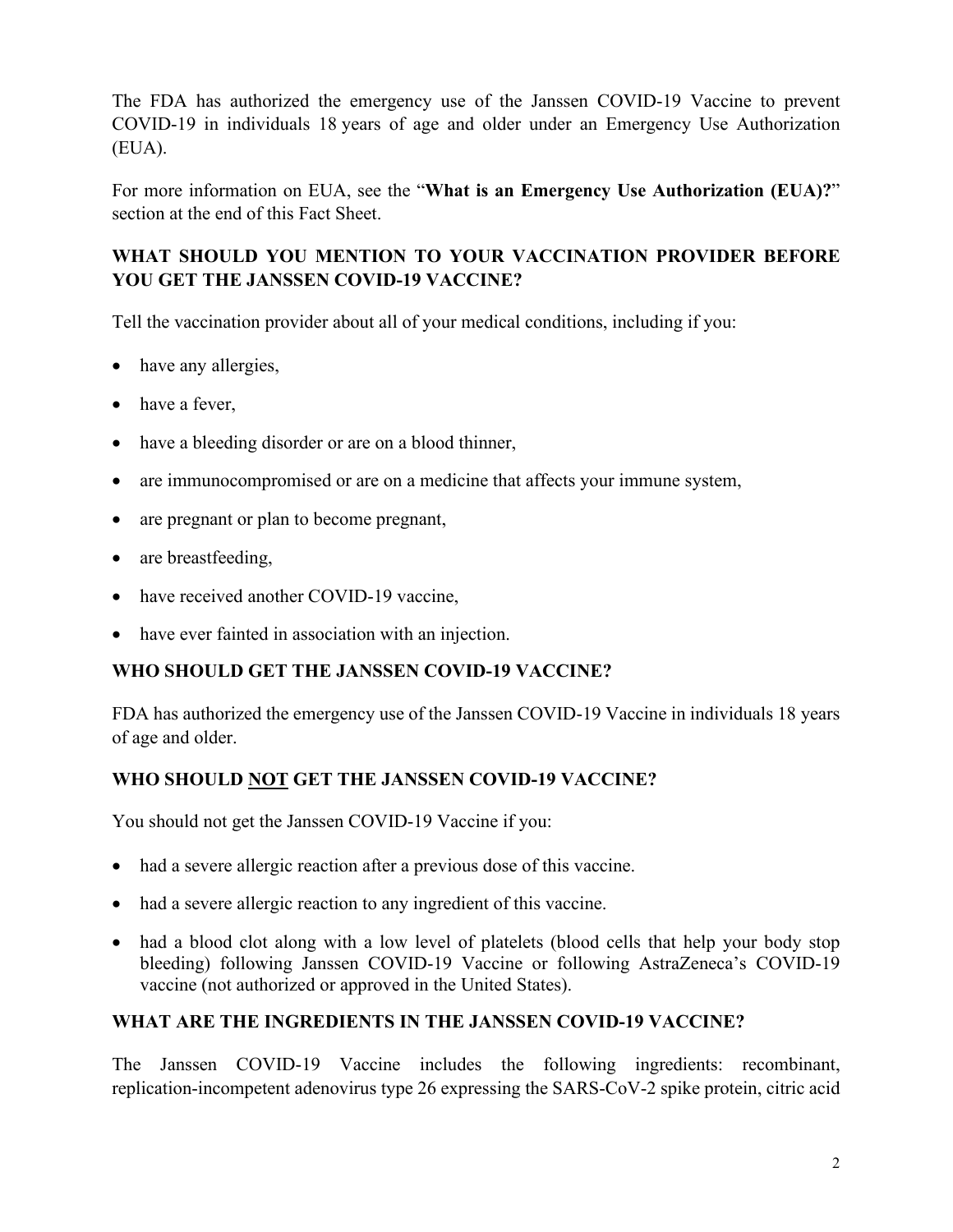The FDA has authorized the emergency use of the Janssen COVID-19 Vaccine to prevent COVID-19 in individuals 18 years of age and older under an Emergency Use Authorization (EUA).

For more information on EUA, see the "**What is an Emergency Use Authorization (EUA)?**" section at the end of this Fact Sheet.

# **WHAT SHOULD YOU MENTION TO YOUR VACCINATION PROVIDER BEFORE YOU GET THE JANSSEN COVID-19 VACCINE?**

Tell the vaccination provider about all of your medical conditions, including if you:

- have any allergies,
- have a fever,
- have a bleeding disorder or are on a blood thinner,
- are immunocompromised or are on a medicine that affects your immune system,
- are pregnant or plan to become pregnant,
- are breastfeeding,
- have received another COVID-19 vaccine,
- have ever fainted in association with an injection.

## **WHO SHOULD GET THE JANSSEN COVID-19 VACCINE?**

FDA has authorized the emergency use of the Janssen COVID-19 Vaccine in individuals 18 years of age and older.

## **WHO SHOULD NOT GET THE JANSSEN COVID-19 VACCINE?**

You should not get the Janssen COVID-19 Vaccine if you:

- had a severe allergic reaction after a previous dose of this vaccine.
- had a severe allergic reaction to any ingredient of this vaccine.
- had a blood clot along with a low level of platelets (blood cells that help your body stop bleeding) following Janssen COVID-19 Vaccine or following AstraZeneca's COVID-19 vaccine (not authorized or approved in the United States).

## **WHAT ARE THE INGREDIENTS IN THE JANSSEN COVID-19 VACCINE?**

The Janssen COVID-19 Vaccine includes the following ingredients: recombinant, replication-incompetent adenovirus type 26 expressing the SARS-CoV-2 spike protein, citric acid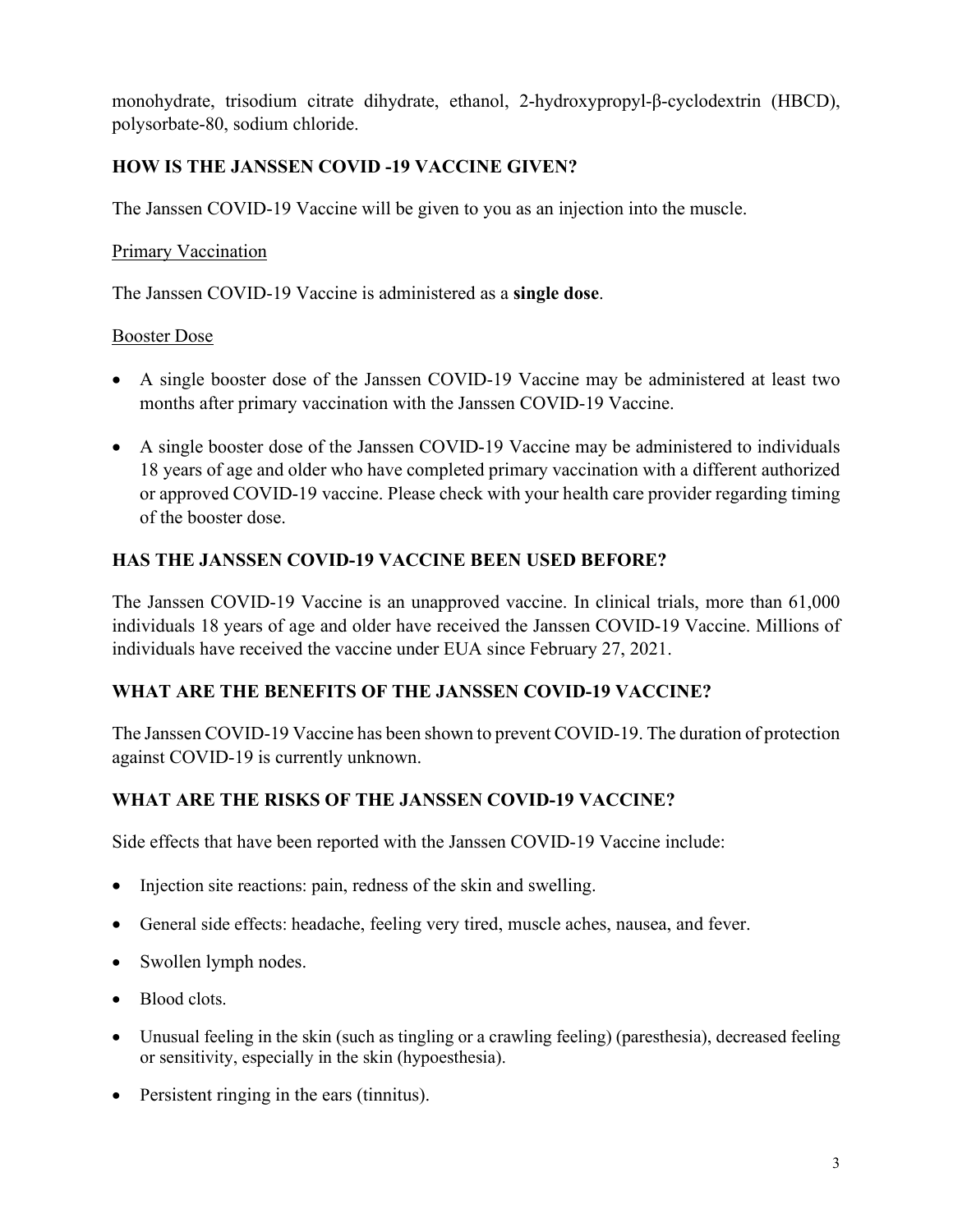monohydrate, trisodium citrate dihydrate, ethanol, 2-hydroxypropyl-β-cyclodextrin (HBCD), polysorbate-80, sodium chloride.

## **HOW IS THE JANSSEN COVID -19 VACCINE GIVEN?**

The Janssen COVID-19 Vaccine will be given to you as an injection into the muscle.

### Primary Vaccination

The Janssen COVID-19 Vaccine is administered as a **single dose**.

#### Booster Dose

- A single booster dose of the Janssen COVID-19 Vaccine may be administered at least two months after primary vaccination with the Janssen COVID-19 Vaccine.
- A single booster dose of the Janssen COVID-19 Vaccine may be administered to individuals 18 years of age and older who have completed primary vaccination with a different authorized or approved COVID-19 vaccine. Please check with your health care provider regarding timing of the booster dose.

## **HAS THE JANSSEN COVID-19 VACCINE BEEN USED BEFORE?**

The Janssen COVID-19 Vaccine is an unapproved vaccine. In clinical trials, more than 61,000 individuals 18 years of age and older have received the Janssen COVID-19 Vaccine. Millions of individuals have received the vaccine under EUA since February 27, 2021.

## **WHAT ARE THE BENEFITS OF THE JANSSEN COVID-19 VACCINE?**

The Janssen COVID-19 Vaccine has been shown to prevent COVID-19. The duration of protection against COVID-19 is currently unknown.

## **WHAT ARE THE RISKS OF THE JANSSEN COVID-19 VACCINE?**

Side effects that have been reported with the Janssen COVID-19 Vaccine include:

- Injection site reactions: pain, redness of the skin and swelling.
- General side effects: headache, feeling very tired, muscle aches, nausea, and fever.
- Swollen lymph nodes.
- Blood clots.
- Unusual feeling in the skin (such as tingling or a crawling feeling) (paresthesia), decreased feeling or sensitivity, especially in the skin (hypoesthesia).
- Persistent ringing in the ears (tinnitus).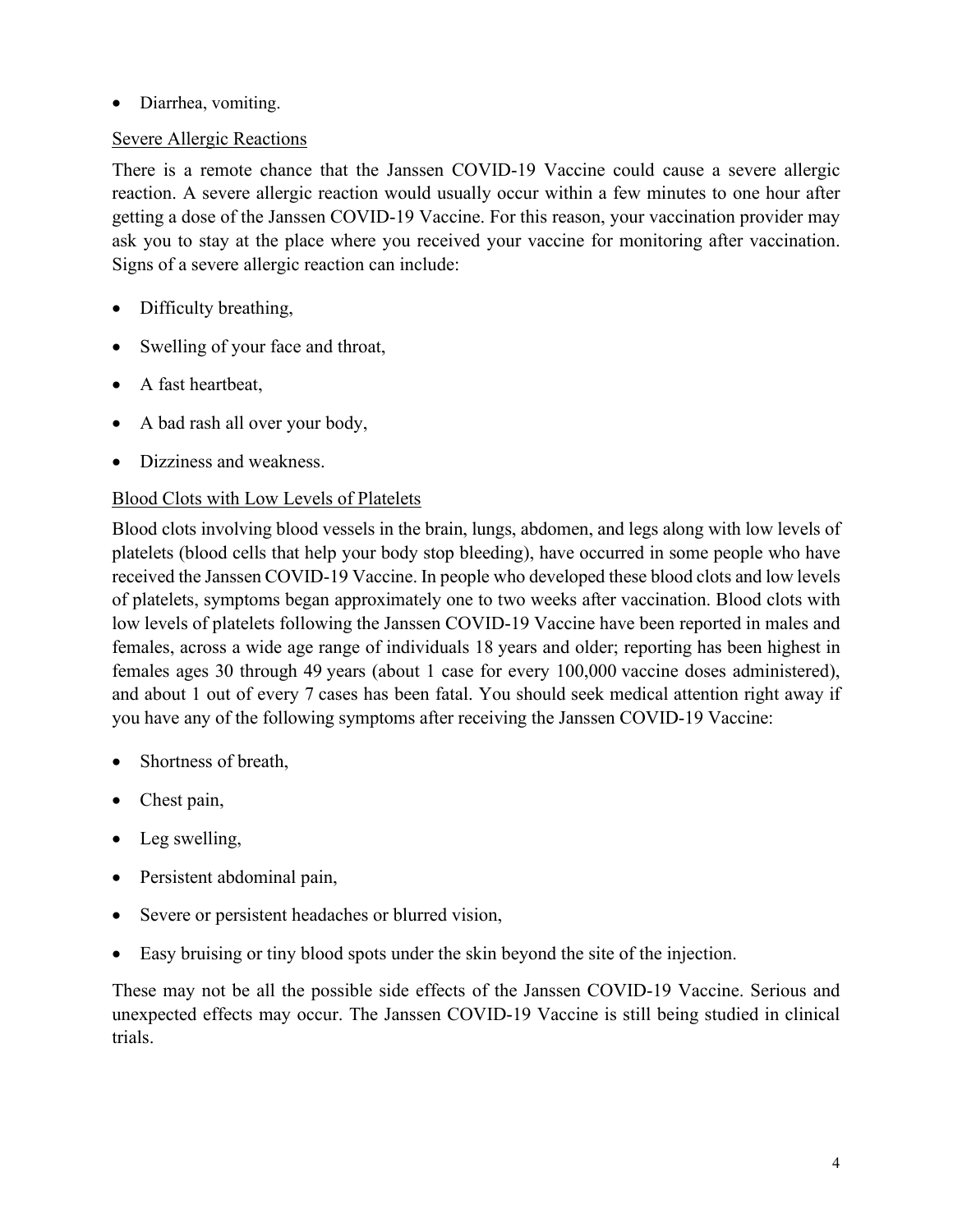### • Diarrhea, vomiting.

### Severe Allergic Reactions

There is a remote chance that the Janssen COVID-19 Vaccine could cause a severe allergic reaction. A severe allergic reaction would usually occur within a few minutes to one hour after getting a dose of the Janssen COVID-19 Vaccine. For this reason, your vaccination provider may ask you to stay at the place where you received your vaccine for monitoring after vaccination. Signs of a severe allergic reaction can include:

- Difficulty breathing,
- Swelling of your face and throat,
- A fast heartbeat,
- A bad rash all over your body,
- Dizziness and weakness.

### Blood Clots with Low Levels of Platelets

Blood clots involving blood vessels in the brain, lungs, abdomen, and legs along with low levels of platelets (blood cells that help your body stop bleeding), have occurred in some people who have received the Janssen COVID-19 Vaccine. In people who developed these blood clots and low levels of platelets, symptoms began approximately one to two weeks after vaccination. Blood clots with low levels of platelets following the Janssen COVID-19 Vaccine have been reported in males and females, across a wide age range of individuals 18 years and older; reporting has been highest in females ages 30 through 49 years (about 1 case for every 100,000 vaccine doses administered), and about 1 out of every 7 cases has been fatal. You should seek medical attention right away if you have any of the following symptoms after receiving the Janssen COVID-19 Vaccine:

- Shortness of breath,
- Chest pain,
- Leg swelling,
- Persistent abdominal pain,
- Severe or persistent headaches or blurred vision,
- Easy bruising or tiny blood spots under the skin beyond the site of the injection.

These may not be all the possible side effects of the Janssen COVID-19 Vaccine. Serious and unexpected effects may occur. The Janssen COVID-19 Vaccine is still being studied in clinical trials.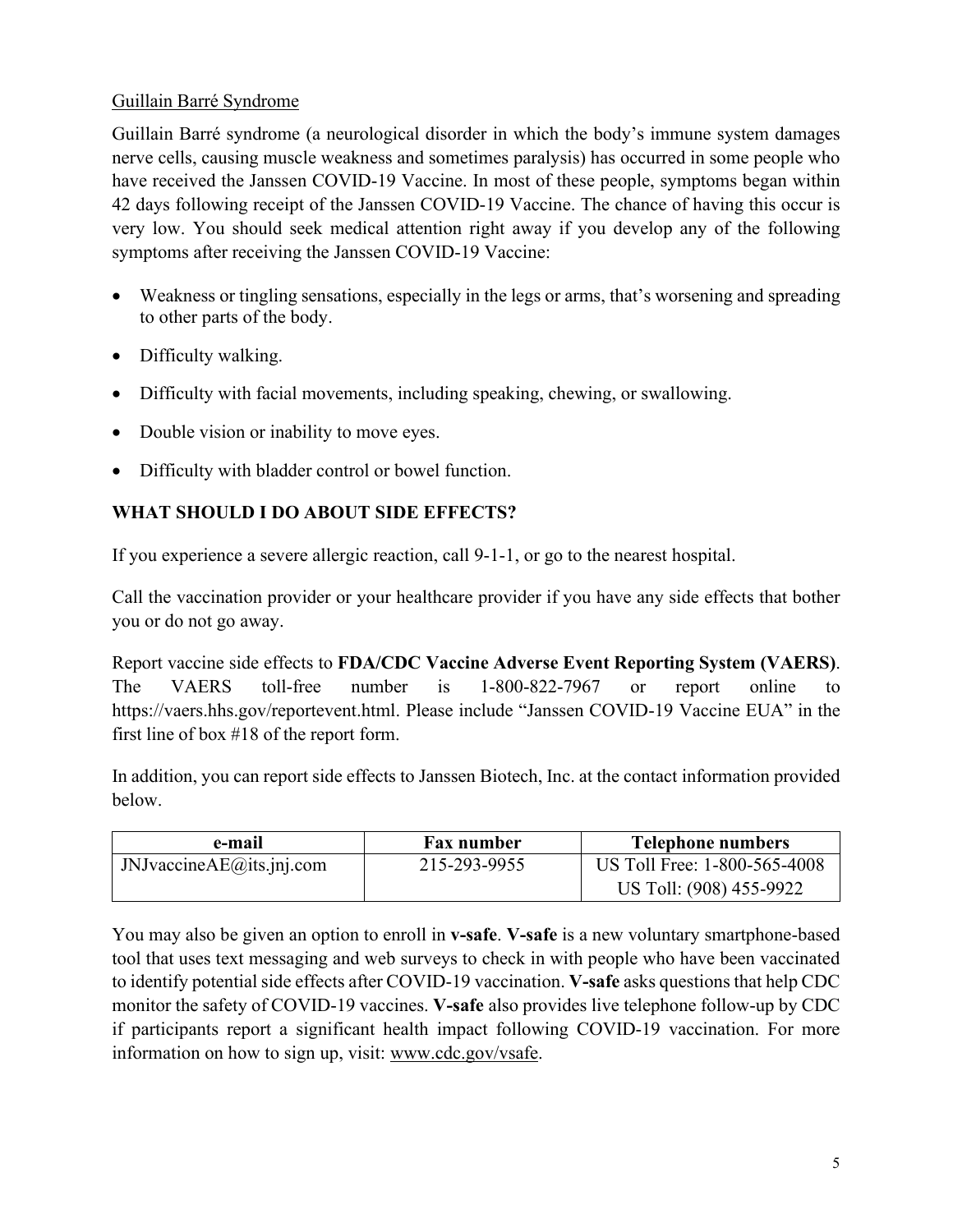#### Guillain Barré Syndrome

Guillain Barré syndrome (a neurological disorder in which the body's immune system damages nerve cells, causing muscle weakness and sometimes paralysis) has occurred in some people who have received the Janssen COVID-19 Vaccine. In most of these people, symptoms began within 42 days following receipt of the Janssen COVID-19 Vaccine. The chance of having this occur is very low. You should seek medical attention right away if you develop any of the following symptoms after receiving the Janssen COVID-19 Vaccine:

- Weakness or tingling sensations, especially in the legs or arms, that's worsening and spreading to other parts of the body.
- Difficulty walking.
- Difficulty with facial movements, including speaking, chewing, or swallowing.
- Double vision or inability to move eyes.
- Difficulty with bladder control or bowel function.

## **WHAT SHOULD I DO ABOUT SIDE EFFECTS?**

If you experience a severe allergic reaction, call 9-1-1, or go to the nearest hospital.

Call the vaccination provider or your healthcare provider if you have any side effects that bother you or do not go away.

Report vaccine side effects to **FDA/CDC Vaccine Adverse Event Reporting System (VAERS)**. The VAERS toll-free number is 1-800-822-7967 or report online to https://vaers.hhs.gov/reportevent.html. Please include "Janssen COVID-19 Vaccine EUA" in the first line of box #18 of the report form.

In addition, you can report side effects to Janssen Biotech, Inc. at the contact information provided below.

| e-mail                          | Fax number   | <b>Telephone numbers</b>     |
|---------------------------------|--------------|------------------------------|
| $J$ NJvaccine $AE$ @its.jnj.com | 215-293-9955 | US Toll Free: 1-800-565-4008 |
|                                 |              | US Toll: (908) 455-9922      |

You may also be given an option to enroll in **v-safe**. **V-safe** is a new voluntary smartphone-based tool that uses text messaging and web surveys to check in with people who have been vaccinated to identify potential side effects after COVID-19 vaccination. **V-safe** asks questions that help CDC monitor the safety of COVID-19 vaccines. **V-safe** also provides live telephone follow-up by CDC if participants report a significant health impact following COVID-19 vaccination. For more information on how to sign up, visit: www.cdc.gov/vsafe.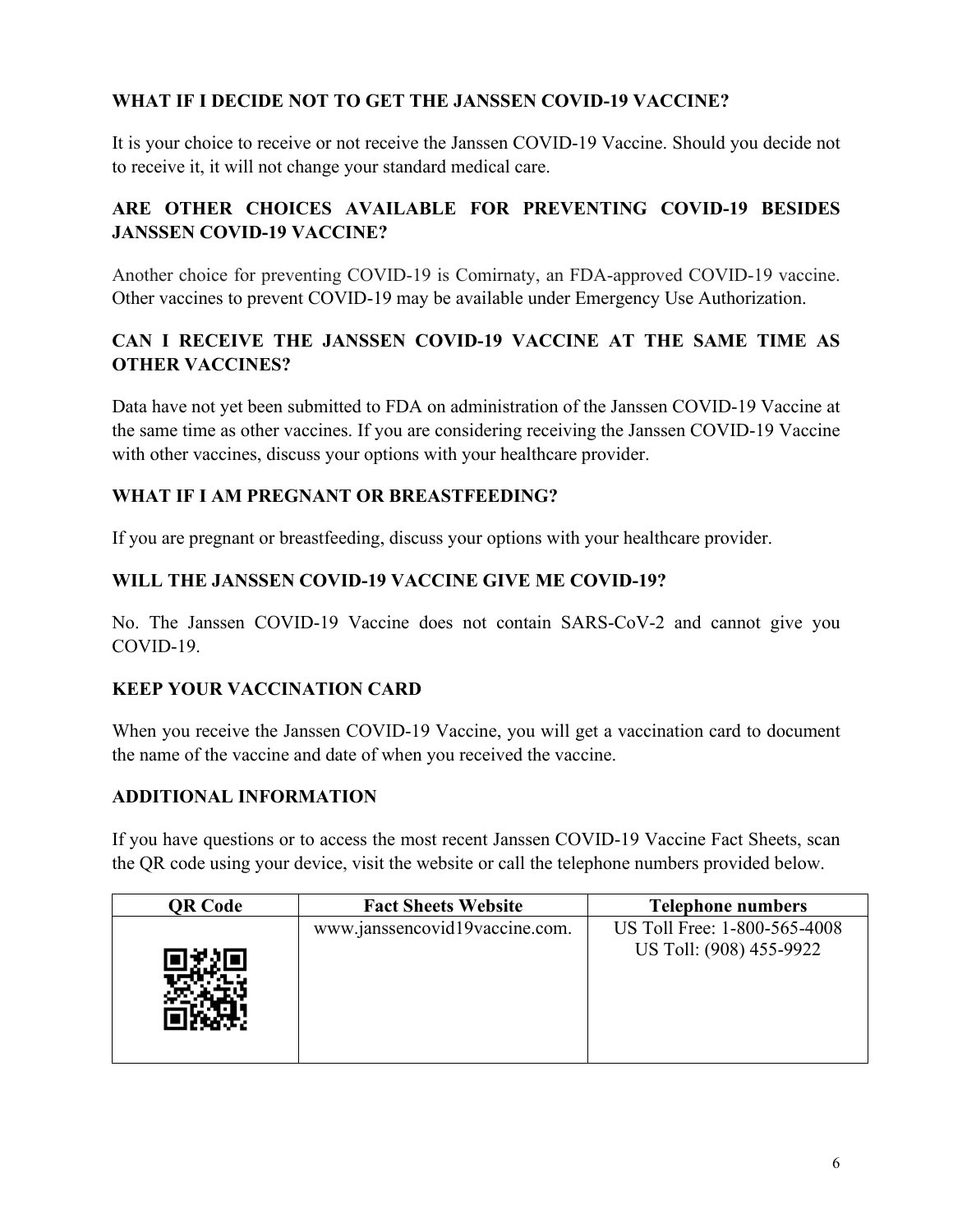### **WHAT IF I DECIDE NOT TO GET THE JANSSEN COVID-19 VACCINE?**

It is your choice to receive or not receive the Janssen COVID-19 Vaccine. Should you decide not to receive it, it will not change your standard medical care.

# **ARE OTHER CHOICES AVAILABLE FOR PREVENTING COVID-19 BESIDES JANSSEN COVID-19 VACCINE?**

Another choice for preventing COVID-19 is Comirnaty, an FDA-approved COVID-19 vaccine. Other vaccines to prevent COVID-19 may be available under Emergency Use Authorization.

## **CAN I RECEIVE THE JANSSEN COVID-19 VACCINE AT THE SAME TIME AS OTHER VACCINES?**

Data have not yet been submitted to FDA on administration of the Janssen COVID-19 Vaccine at the same time as other vaccines. If you are considering receiving the Janssen COVID-19 Vaccine with other vaccines, discuss your options with your healthcare provider.

### **WHAT IF I AM PREGNANT OR BREASTFEEDING?**

If you are pregnant or breastfeeding, discuss your options with your healthcare provider.

### **WILL THE JANSSEN COVID-19 VACCINE GIVE ME COVID-19?**

No. The Janssen COVID-19 Vaccine does not contain SARS-CoV-2 and cannot give you COVID-19.

## **KEEP YOUR VACCINATION CARD**

When you receive the Janssen COVID-19 Vaccine, you will get a vaccination card to document the name of the vaccine and date of when you received the vaccine.

#### **ADDITIONAL INFORMATION**

If you have questions or to access the most recent Janssen COVID-19 Vaccine Fact Sheets, scan the QR code using your device, visit the website or call the telephone numbers provided below.

| QR Code | <b>Fact Sheets Website</b>     | <b>Telephone numbers</b>                                |
|---------|--------------------------------|---------------------------------------------------------|
|         | www.janssencovid19vaccine.com. | US Toll Free: 1-800-565-4008<br>US Toll: (908) 455-9922 |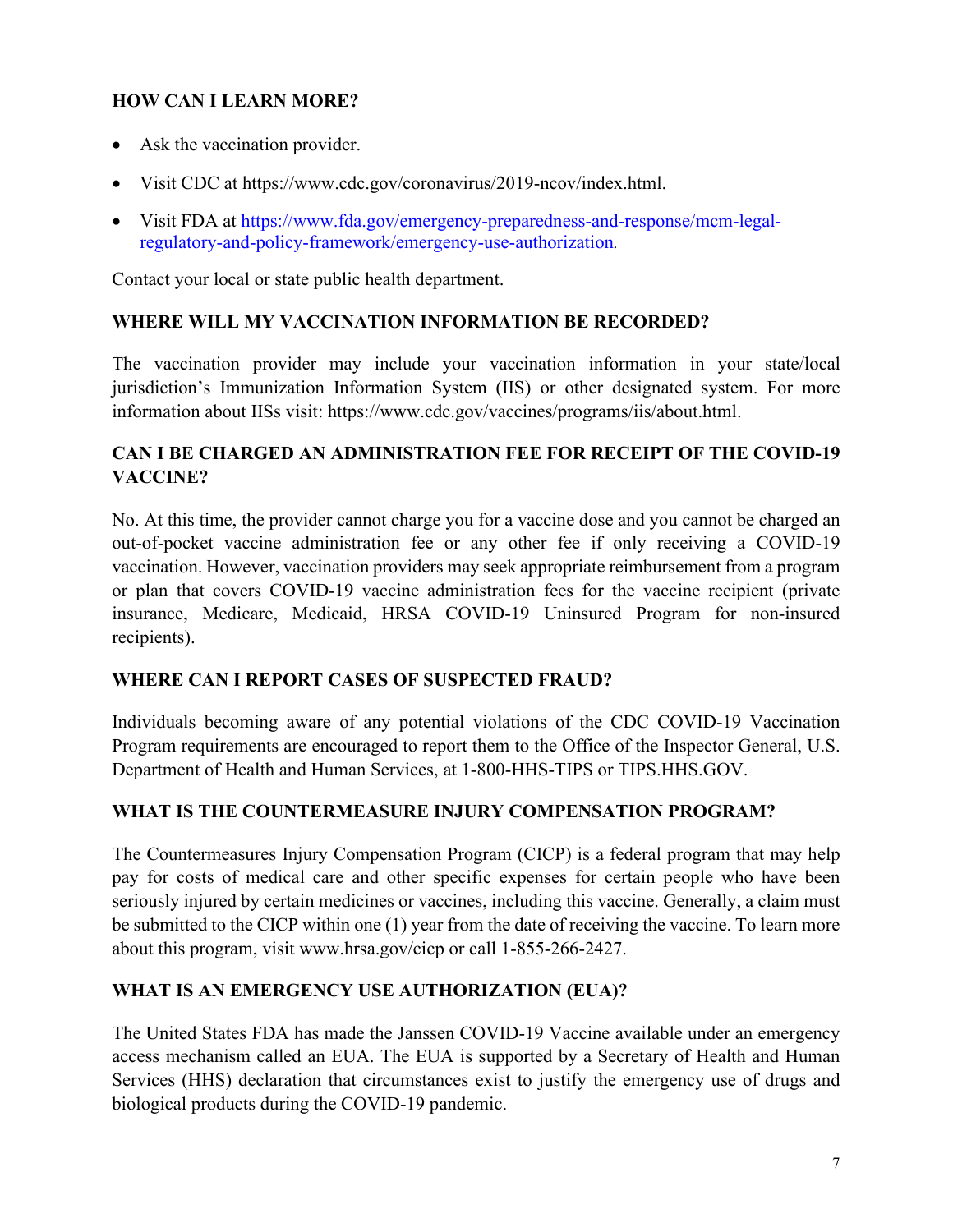### **HOW CAN I LEARN MORE?**

- Ask the vaccination provider.
- Visit CDC at https://www.cdc.gov/coronavirus/2019-ncov/index.html.
- Visit FDA at https://www.fda.gov/emergency-preparedness-and-response/mcm-legalregulatory-and-policy-framework/emergency-use-authorization*.*

Contact your local or state public health department.

#### **WHERE WILL MY VACCINATION INFORMATION BE RECORDED?**

The vaccination provider may include your vaccination information in your state/local jurisdiction's Immunization Information System (IIS) or other designated system. For more information about IISs visit: https://www.cdc.gov/vaccines/programs/iis/about.html.

### **CAN I BE CHARGED AN ADMINISTRATION FEE FOR RECEIPT OF THE COVID-19 VACCINE?**

No. At this time, the provider cannot charge you for a vaccine dose and you cannot be charged an out-of-pocket vaccine administration fee or any other fee if only receiving a COVID-19 vaccination. However, vaccination providers may seek appropriate reimbursement from a program or plan that covers COVID-19 vaccine administration fees for the vaccine recipient (private insurance, Medicare, Medicaid, HRSA COVID-19 Uninsured Program for non-insured recipients).

#### **WHERE CAN I REPORT CASES OF SUSPECTED FRAUD?**

Individuals becoming aware of any potential violations of the CDC COVID-19 Vaccination Program requirements are encouraged to report them to the Office of the Inspector General, U.S. Department of Health and Human Services, at 1-800-HHS-TIPS or TIPS.HHS.GOV.

#### **WHAT IS THE COUNTERMEASURE INJURY COMPENSATION PROGRAM?**

The Countermeasures Injury Compensation Program (CICP) is a federal program that may help pay for costs of medical care and other specific expenses for certain people who have been seriously injured by certain medicines or vaccines, including this vaccine. Generally, a claim must be submitted to the CICP within one (1) year from the date of receiving the vaccine. To learn more about this program, visit www.hrsa.gov/cicp or call 1-855-266-2427.

#### **WHAT IS AN EMERGENCY USE AUTHORIZATION (EUA)?**

The United States FDA has made the Janssen COVID-19 Vaccine available under an emergency access mechanism called an EUA. The EUA is supported by a Secretary of Health and Human Services (HHS) declaration that circumstances exist to justify the emergency use of drugs and biological products during the COVID-19 pandemic.